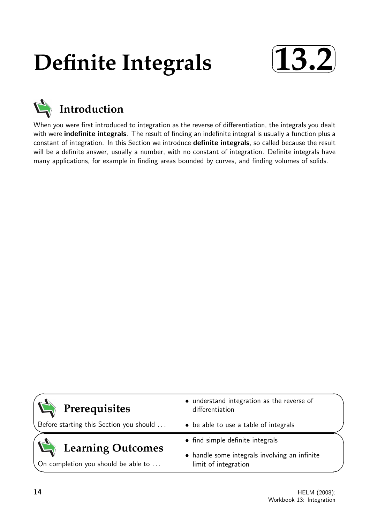# **Definite Integrals**





When you were first introduced to integration as the reverse of differentiation, the integrals you dealt with were **indefinite integrals**. The result of finding an indefinite integral is usually a function plus a constant of integration. In this Section we introduce definite integrals, so called because the result will be a definite answer, usually a number, with no constant of integration. Definite integrals have many applications, for example in finding areas bounded by curves, and finding volumes of solids.



Before starting this Section you should . . .

## **Learning Outcomes**

On completion you should be able to ...

- understand integration as the reverse of differentiation
- be able to use a table of integrals
- find simple definite integrals
- handle some integrals involving an infinite limit of integration

 $\overline{\phantom{0}}$ 

 $\searrow$ 

 $\succ$ 

 $\overline{\phantom{0}}$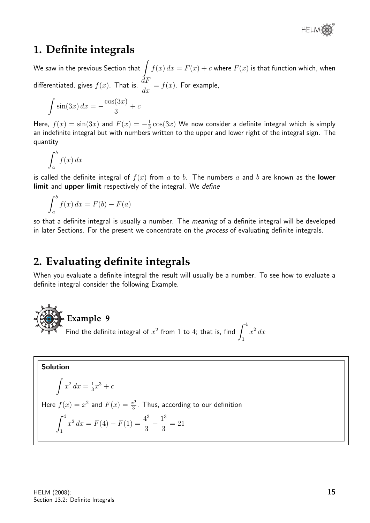

## **1. Definite integrals**

We saw in the previous Section that  $\int f(x)\, dx = F(x) + c$  where  $F(x)$  is that function which, when differentiated, gives  $f(x)$ . That is,  $\frac{dF}{dt}$  $\frac{du}{dx} = f(x)$ . For example,

$$
\int \sin(3x) \, dx = -\frac{\cos(3x)}{3} + c
$$

Here,  $f(x) = \sin(3x)$  and  $F(x) = -\frac{1}{3}$  $\frac{1}{3}\cos(3x)$  We now consider a definite integral which is simply an indefinite integral but with numbers written to the upper and lower right of the integral sign. The quantity

$$
\int_{a}^{b} f(x) \, dx
$$

is called the definite integral of  $f(x)$  from a to b. The numbers a and b are known as the **lower** limit and upper limit respectively of the integral. We define

$$
\int_{a}^{b} f(x) dx = F(b) - F(a)
$$

so that a definite integral is usually a number. The *meaning* of a definite integral will be developed in later Sections. For the present we concentrate on the *process* of evaluating definite integrals.

## **2. Evaluating definite integrals**

When you evaluate a definite integral the result will usually be a number. To see how to evaluate a definite integral consider the following Example.

#### **Example 9** Find the definite integral of  $x^2$  from 1 to 4; that is, find  $\int^4$ 1  $x^2 dx$

**Solution**  
\n
$$
\int x^2 dx = \frac{1}{3}x^3 + c
$$
\nHere  $f(x) = x^2$  and  $F(x) = \frac{x^3}{3}$ . Thus, according to our definition\n
$$
\int_{1}^{4} x^2 dx = F(4) - F(1) = \frac{4^3}{3} - \frac{1^3}{3} = 21
$$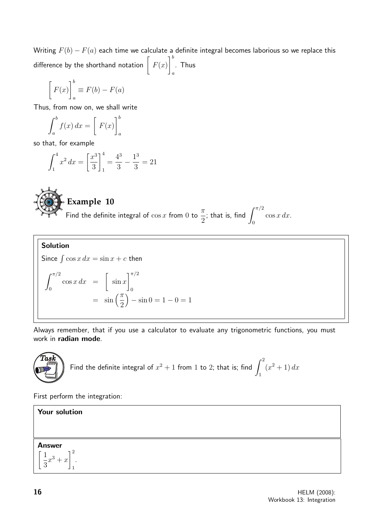Writing  $F(b) - F(a)$  each time we calculate a definite integral becomes laborious so we replace this difference by the shorthand notation  $\left[\begin{array}{c} F(x) \end{array}\right]$  $\big]^{b}$ a . Thus

$$
\[F(x)\]_a^b \equiv F(b) - F(a)
$$

Thus, from now on, we shall write

$$
\int_{a}^{b} f(x) dx = \left[ F(x) \right]_{a}^{b}
$$

so that, for example

$$
\int_{1}^{4} x^{2} dx = \left[\frac{x^{3}}{3}\right]_{1}^{4} = \frac{4^{3}}{3} - \frac{1^{3}}{3} = 21
$$



**Example 10** Find the definite integral of  $\cos x$  from 0 to  $\pi$ 2 ; that is, find  $\int^{\pi/2}$ 0  $\cos x \, dx$ .

**Solution**  
\nSince 
$$
\int \cos x \, dx = \sin x + c
$$
 then  
\n
$$
\int_0^{\pi/2} \cos x \, dx = \left[ \sin x \right]_0^{\pi/2}
$$
\n
$$
= \sin \left( \frac{\pi}{2} \right) - \sin 0 = 1 - 0 = 1
$$

Always remember, that if you use a calculator to evaluate any trigonometric functions, you must work in radian mode.



Find the definite integral of 
$$
x^2 + 1
$$
 from 1 to 2; that is; find  $\int_1^2 (x^2 + 1) dx$ 

First perform the integration:

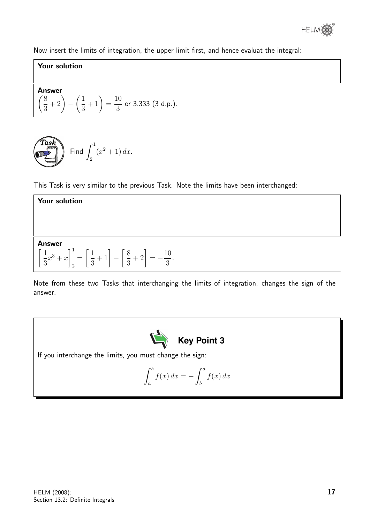

Now insert the limits of integration, the upper limit first, and hence evaluat the integral:

#### Your solution

Answer  
\n
$$
\left(\frac{8}{3} + 2\right) - \left(\frac{1}{3} + 1\right) = \frac{10}{3}
$$
 or 3.333 (3 d.p.).

$$
\underbrace{\text{Task}}_{\text{Find}} \int_2^1 (x^2 + 1) \, dx.
$$

This Task is very similar to the previous Task. Note the limits have been interchanged:

| <b>Your solution</b>                                                                                                 |
|----------------------------------------------------------------------------------------------------------------------|
|                                                                                                                      |
|                                                                                                                      |
| <b>Answer</b>                                                                                                        |
| $\left[\frac{1}{3}x^3 + x\right]_2^1 = \left[\frac{1}{3} + 1\right] - \left[\frac{8}{3} + 2\right] = -\frac{10}{3}.$ |

Note from these two Tasks that interchanging the limits of integration, changes the sign of the answer.



If you interchange the limits, you must change the sign:

$$
\int_{a}^{b} f(x) dx = -\int_{b}^{a} f(x) dx
$$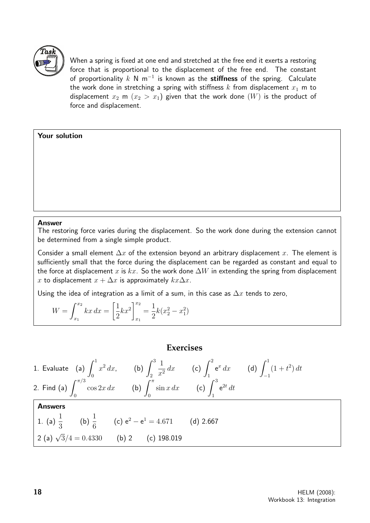

When a spring is fixed at one end and stretched at the free end it exerts a restoring force that is proportional to the displacement of the free end. The constant of proportionality  $k$  N m $^{-1}$  is known as the stiffness of the spring. Calculate the work done in stretching a spring with stiffness k from displacement  $x_1$  m to displacement  $x_2$  m  $(x_2 > x_1)$  given that the work done  $(W)$  is the product of force and displacement.

#### Your solution

#### Answer

The restoring force varies during the displacement. So the work done during the extension cannot be determined from a single simple product.

Consider a small element  $\Delta x$  of the extension beyond an arbitrary displacement x. The element is sufficiently small that the force during the displacement can be regarded as constant and equal to the force at displacement x is kx. So the work done  $\Delta W$  in extending the spring from displacement x to displacement  $x + \Delta x$  is approximately  $kx\Delta x$ .

Using the idea of integration as a limit of a sum, in this case as  $\Delta x$  tends to zero,

$$
W = \int_{x_1}^{x_2} kx \, dx = \left[\frac{1}{2}kx^2\right]_{x_1}^{x_2} = \frac{1}{2}k(x_2^2 - x_1^2)
$$

#### **Exercises**

1. Evaluate (a)  $\int_1^1$ 0  $x^2 dx$ , (b)  $\int_0^3$ 2 1  $\frac{1}{x^2} dx$  (c)  $\int_1^2$ 1  $e^x dx$  (d)  $\int_0^1$ −1  $(1 + t^2) dt$ 2. Find (a)  $\int^{\pi/3}$ 0  $\cos 2x \, dx$  (b)  $\int_0^\pi$ 0  $\sin x \, dx$  (c)  $\int_0^3$ 1  $e^{2t} dt$ Answers 1. (a)  $\frac{1}{2}$ 3 (b)  $\frac{1}{c}$ 6 (c)  $e^2 - e^1 = 4.671$  (d) 2.667 2 (a)  $\sqrt{3}/4 = 0.4330$  (b) 2 (c) 198.019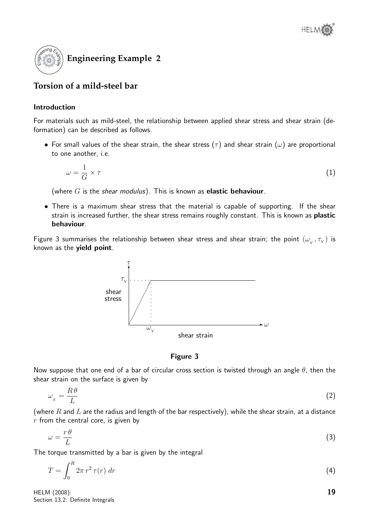

### **Torsion of a mild-steel bar**

#### Introduction

For materials such as mild-steel, the relationship between applied shear stress and shear strain (deformation) can be described as follows.

• For small values of the shear strain, the shear stress  $(\tau)$  and shear strain  $(\omega)$  are proportional to one another, i.e.

$$
\omega = \frac{1}{G} \times \tau \tag{1}
$$

(where  $G$  is the shear modulus). This is known as **elastic behaviour**.

• There is a maximum shear stress that the material is capable of supporting. If the shear strain is increased further, the shear stress remains roughly constant. This is known as plastic behaviour.

Figure 3 summarises the relationship between shear stress and shear strain; the point  $(\omega_{_Y}^{},\tau_{_Y}^{})$  is known as the yield point.



Figure 3

Now suppose that one end of a bar of circular cross section is twisted through an angle  $\theta$ , then the shear strain on the surface is given by

$$
\omega_s = \frac{R\theta}{L} \tag{2}
$$

(where R and L are the radius and length of the bar respectively), while the shear strain, at a distance  $r$  from the central core, is given by

$$
\omega = \frac{r \theta}{L} \tag{3}
$$

The torque transmitted by a bar is given by the integral

$$
T = \int_0^R 2\pi r^2 \,\tau(r) \; dr \tag{4}
$$

HELM (2008): Section 13.2: Definite Integrals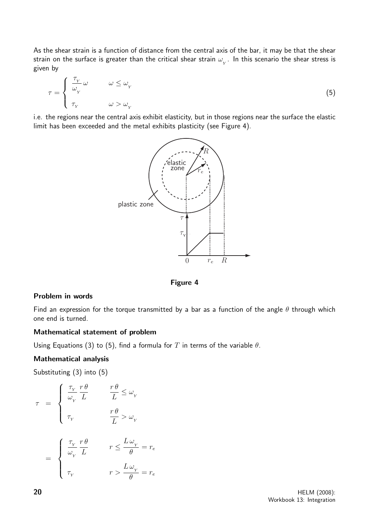As the shear strain is a function of distance from the central axis of the bar, it may be that the shear strain on the surface is greater than the critical shear strain  $\omega_{_{Y}}.$  In this scenario the shear stress is given by

$$
\tau = \begin{cases} \frac{\tau_Y}{\omega_Y} \omega & \omega \le \omega_Y \\ \tau_Y & \omega > \omega_Y \end{cases}
$$
\n(5)

i.e. the regions near the central axis exhibit elasticity, but in those regions near the surface the elastic limit has been exceeded and the metal exhibits plasticity (see Figure 4).



Figure 4

#### Problem in words

Find an expression for the torque transmitted by a bar as a function of the angle  $\theta$  through which one end is turned.

#### Mathematical statement of problem

Using Equations (3) to (5), find a formula for T in terms of the variable  $\theta$ .

#### Mathematical analysis

Substituting (3) into (5)

$$
\begin{array}{rcl} \tau&=&\left\{ \begin{array}{ll} \displaystyle \frac{\tau_{_Y}}{\omega_{_Y}} \frac{r \, \theta}{L}& & \displaystyle \frac{r \, \theta}{L} \leq \omega_{_Y}\\ \\ \displaystyle \tau_{_Y}& & \displaystyle \frac{r \, \theta}{L} > \omega_{_Y}\\ \\ \displaystyle = & \left\{ \begin{array}{ll} \displaystyle \frac{\tau_{_Y}}{\omega_{_Y}} \frac{r \, \theta}{L}& & \displaystyle r \leq \frac{L \, \omega_{_Y}}{\theta}=r_e\\ \\ \displaystyle \tau_{_Y}& & \displaystyle r > \frac{L \, \omega_{_Y}}{\theta}=r_e \end{array} \right. \end{array}
$$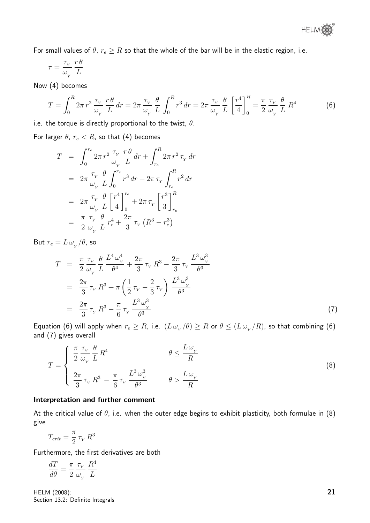For small values of  $\theta$ ,  $r_e \geq R$  so that the whole of the bar will be in the elastic region, i.e.

$$
\tau = \frac{\tau_{_Y}}{\omega_{_Y}}\frac{r\,\theta}{L}
$$

Now (4) becomes

$$
T = \int_0^R 2\pi r^2 \frac{\tau_Y}{\omega_Y} \frac{r\theta}{L} dr = 2\pi \frac{\tau_Y}{\omega_Y} \frac{\theta}{L} \int_0^R r^3 dr = 2\pi \frac{\tau_Y}{\omega_Y} \frac{\theta}{L} \left[ \frac{r^4}{4} \right]_0^R = \frac{\pi}{2} \frac{\tau_Y}{\omega_Y} \frac{\theta}{L} R^4
$$
(6)

i.e. the torque is directly proportional to the twist,  $\theta$ .

For larger  $\theta$ ,  $r_e < R$ , so that (4) becomes

$$
T = \int_0^{r_e} 2\pi r^2 \frac{\tau_Y}{\omega_Y} \frac{r\theta}{L} dr + \int_{r_e}^R 2\pi r^2 \tau_Y dr
$$
  
\n
$$
= 2\pi \frac{\tau_Y}{\omega_Y} \frac{\theta}{L} \int_0^{r_e} r^3 dr + 2\pi \tau_Y \int_{r_e}^R r^2 dr
$$
  
\n
$$
= 2\pi \frac{\tau_Y}{\omega_Y} \frac{\theta}{L} \left[ \frac{r^4}{4} \right]_0^{r_e} + 2\pi \tau_Y \left[ \frac{r^3}{3} \right]_{r_e}^R
$$
  
\n
$$
= \frac{\pi}{2} \frac{\tau_Y}{\omega_Y} \frac{\theta}{L} r_e^4 + \frac{2\pi}{3} \tau_Y (R^3 - r_e^3)
$$

But  $r_e = L \, \omega_{_Y}/\theta$ , so

$$
T = \frac{\pi}{2} \frac{\tau_{Y}}{\omega_{Y}} \frac{\theta}{L} \frac{L^{4} \omega_{Y}^{4}}{\theta^{4}} + \frac{2\pi}{3} \tau_{Y} R^{3} - \frac{2\pi}{3} \tau_{Y} \frac{L^{3} \omega_{Y}^{3}}{\theta^{3}}
$$
  

$$
= \frac{2\pi}{3} \tau_{Y} R^{3} + \pi \left(\frac{1}{2} \tau_{Y} - \frac{2}{3} \tau_{Y}\right) \frac{L^{3} \omega_{Y}^{3}}{\theta^{3}}
$$
  

$$
= \frac{2\pi}{3} \tau_{Y} R^{3} - \frac{\pi}{6} \tau_{Y} \frac{L^{3} \omega_{Y}^{3}}{\theta^{3}}
$$
(7)

Equation (6) will apply when  $r_e\ge R$ , i.e.  $(L\,\omega_{_Y}/\theta)\ge R$  or  $\theta\le (L\,\omega_{_Y}/R)$ , so that combining (6) and (7) gives overall

$$
T = \begin{cases} \frac{\pi}{2} \frac{\tau_{Y}}{\omega_{Y}} \frac{\theta}{L} R^{4} & \theta \leq \frac{L \omega_{Y}}{R} \\ \frac{2\pi}{3} \tau_{Y} R^{3} - \frac{\pi}{6} \tau_{Y} \frac{L^{3} \omega_{Y}^{3}}{\theta^{3}} & \theta > \frac{L \omega_{Y}}{R} \end{cases}
$$
(8)

#### Interpretation and further comment

At the critical value of  $\theta$ , i.e. when the outer edge begins to exhibit plasticity, both formulae in (8) give

$$
T_{crit} = \frac{\pi}{2} \tau_Y R^3
$$

Furthermore, the first derivatives are both

$$
\frac{dT}{d\theta} = \frac{\pi}{2} \frac{\tau_{_Y}}{\omega_{_Y}} \frac{R^4}{L}
$$

HELM (2008): Section 13.2: Definite Integrals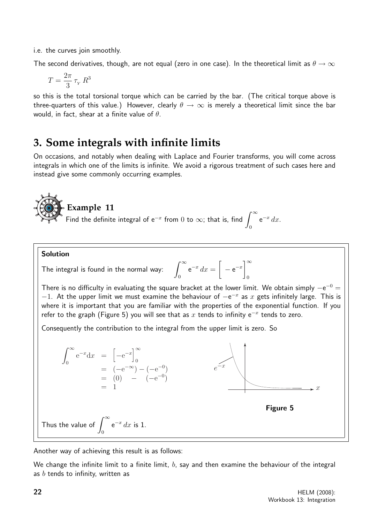i.e. the curves join smoothly.

The second derivatives, though, are not equal (zero in one case). In the theoretical limit as  $\theta \to \infty$ 

$$
T=\frac{2\pi}{3}\,\tau_{\scriptscriptstyle Y}\,R^3
$$

so this is the total torsional torque which can be carried by the bar. (The critical torque above is three-quarters of this value.) However, clearly  $\theta \to \infty$  is merely a theoretical limit since the bar would, in fact, shear at a finite value of  $\theta$ .

## **3. Some integrals with infinite limits**

On occasions, and notably when dealing with Laplace and Fourier transforms, you will come across integrals in which one of the limits is infinite. We avoid a rigorous treatment of such cases here and instead give some commonly occurring examples.



Solution

The integral is found in the normal way: 
$$
\int_0^\infty e^{-x} dx = \left[ -e^{-x} \right]_0^\infty
$$

There is no difficulty in evaluating the square bracket at the lower limit. We obtain simply  $-e^{-0} =$  $-1$ . At the upper limit we must examine the behaviour of  $-e^{-x}$  as x gets infinitely large. This is where it is important that you are familiar with the properties of the exponential function. If you refer to the graph (Figure 5) you will see that as  $x$  tends to infinity  $e^{-x}$  tends to zero.

Consequently the contribution to the integral from the upper limit is zero. So



Another way of achieving this result is as follows:

We change the infinite limit to a finite limit,  $b$ , say and then examine the behaviour of the integral as  $b$  tends to infinity, written as